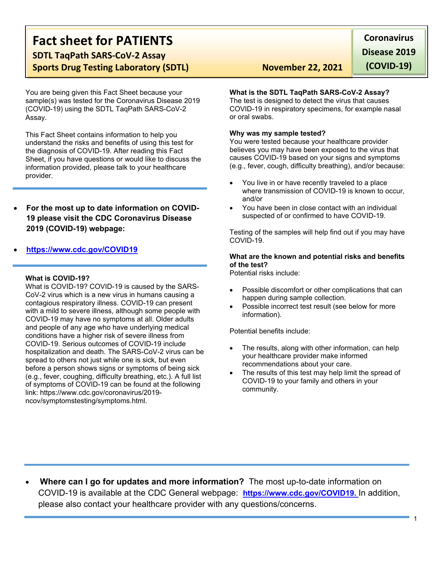# **Fact sheet for PATIENTS SDTL TaqPath SARS-CoV-2 Assay Sports Drug Testing Laboratory (SDTL)** November 22, 2021

You are being given this Fact Sheet because your sample(s) was tested for the Coronavirus Disease 2019 (COVID-19) using the SDTL TaqPath SARS-CoV-2 Assay.

This Fact Sheet contains information to help you understand the risks and benefits of using this test for the diagnosis of COVID-19. After reading this Fact Sheet, if you have questions or would like to discuss the information provided, please talk to your healthcare provider.

- **For the most up to date information on COVID-19 please visit the CDC Coronavirus Disease 2019 (COVID-19) webpage:**
- **[https://www.cdc.gov/COVID19](https://www.cdc.gov/nCoV)**

## **What is COVID-19?**

What is COVID-19? COVID-19 is caused by the SARS-CoV-2 virus which is a new virus in humans causing a contagious respiratory illness. COVID-19 can present with a mild to severe illness, although some people with COVID-19 may have no symptoms at all. Older adults and people of any age who have underlying medical conditions have a higher risk of severe illness from COVID-19. Serious outcomes of COVID-19 include hospitalization and death. The SARS-CoV-2 virus can be spread to others not just while one is sick, but even before a person shows signs or symptoms of being sick (e.g., fever, coughing, difficulty breathing, etc.). A full list of symptoms of COVID-19 can be found at the following link: https://www.cdc.gov/coronavirus/2019 ncov/symptomstesting/symptoms.html.

**Coronavirus Disease 2019 (COVID-19)**

# **What is the SDTL TaqPath SARS-CoV-2 Assay?**

The test is designed to detect the virus that causes COVID-19 in respiratory specimens, for example nasal or oral swabs.

## **Why was my sample tested?**

You were tested because your healthcare provider believes you may have been exposed to the virus that causes COVID-19 based on your signs and symptoms (e.g., fever, cough, difficulty breathing), and/or because:

- You live in or have recently traveled to a place where transmission of COVID-19 is known to occur, and/or
- You have been in close contact with an individual suspected of or confirmed to have COVID-19.

Testing of the samples will help find out if you may have COVID-19.

# **What are the known and potential risks and benefits of the test?**

Potential risks include:

- Possible discomfort or other complications that can happen during sample collection.
- Possible incorrect test result (see below for more information).

Potential benefits include:

- The results, along with other information, can help your healthcare provider make informed recommendations about your care.
- The results of this test may help limit the spread of COVID-19 to your family and others in your community.

 **Where can I go for updates and more information?** The most up-to-date information on COVID-19 is available at the CDC General webpage: **[https://www.cdc.gov/COVID19.](https://www.cdc.gov/nCoV)** In addition, please also contact your healthcare provider with any questions/concerns.